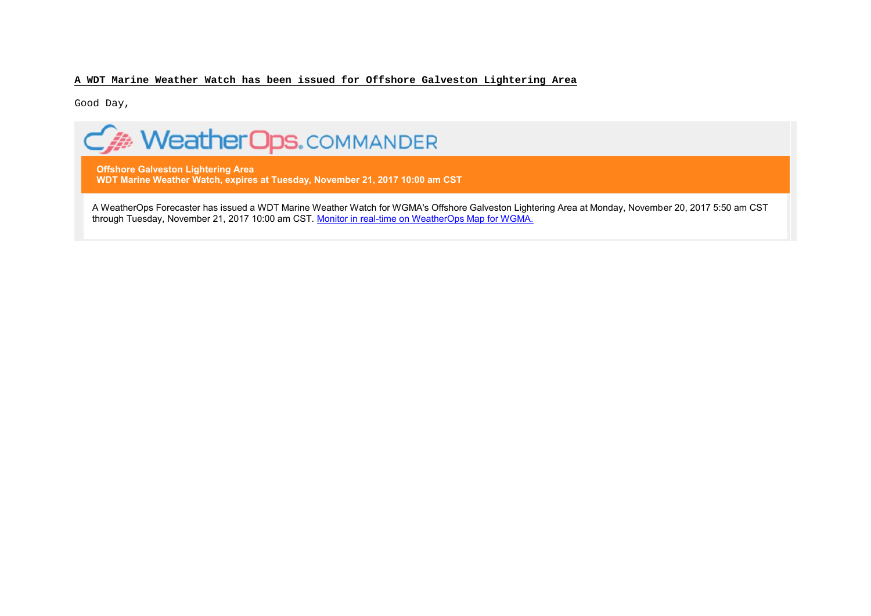## **A WDT Marine Weather Watch has been issued for Offshore Galveston Lightering Area**

Good Day,



**Offshore Galveston Lightering Area WDT Marine Weather Watch, expires at Tuesday, November 21, 2017 10:00 am CST**

A WeatherOps Forecaster has issued a WDT Marine Weather Watch for WGMA's Offshore Galveston Lightering Area at Monday, November 20, 2017 5:50 am CST through Tuesday, November 21, 2017 10:00 am CST. Monitor in real-time on WeatherOps Map for WGMA.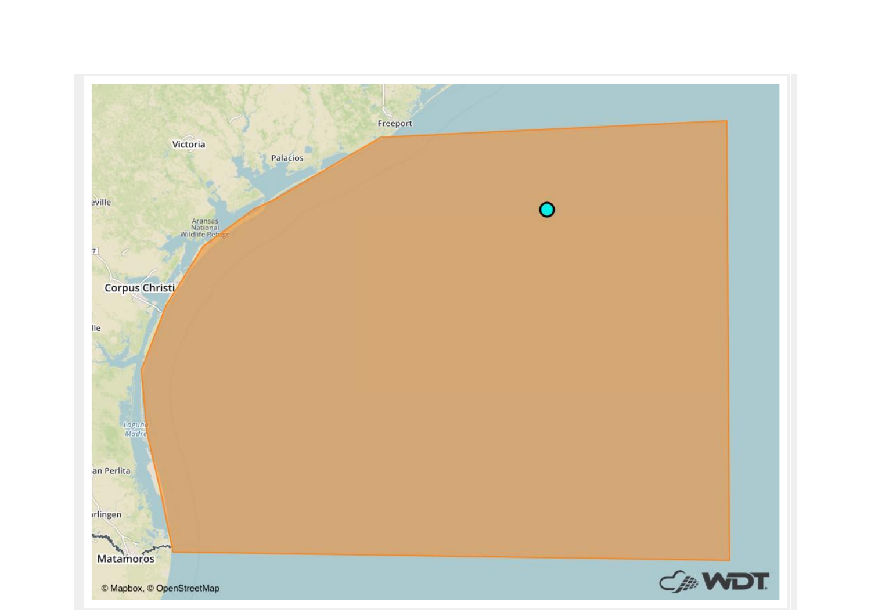